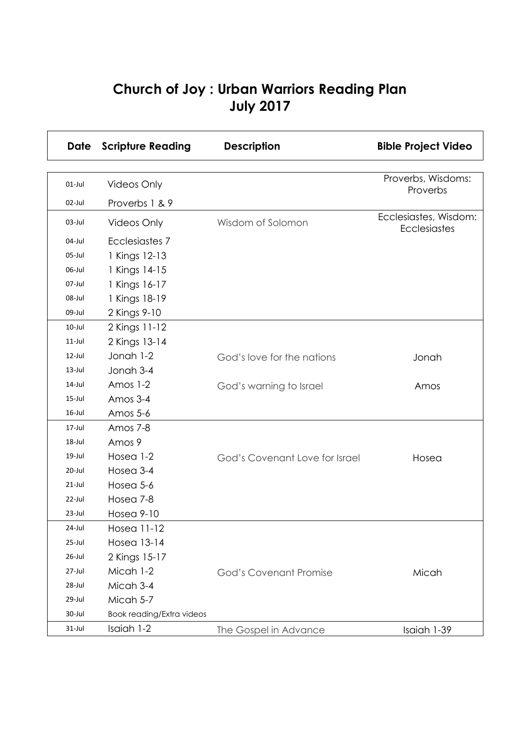## **Church of Joy : Urban Warriors Reading Plan July 2017**

| Date      | <b>Scripture Reading</b>         | <b>Description</b>             | <b>Bible Project Video</b>            |
|-----------|----------------------------------|--------------------------------|---------------------------------------|
|           |                                  |                                |                                       |
| $01-Jul$  | <b>Videos Only</b>               |                                | Proverbs, Wisdoms:<br>Proverbs        |
| 02-Jul    | Proverbs 1 & 9                   |                                |                                       |
| $03$ -Jul | <b>Videos Only</b>               | Wisdom of Solomon              | Ecclesiastes, Wisdom:<br>Ecclesiastes |
| 04-Jul    | Ecclesiastes 7                   |                                |                                       |
| $05$ -Jul | 1 Kings 12-13                    |                                |                                       |
| 06-Jul    | 1 Kings 14-15                    |                                |                                       |
| 07-Jul    | 1 Kings 16-17                    |                                |                                       |
| 08-Jul    | 1 Kings 18-19                    |                                |                                       |
| 09-Jul    | 2 Kings 9-10                     |                                |                                       |
| $10$ -Jul | 2 Kings 11-12                    |                                |                                       |
| $11$ -Jul | 2 Kings 13-14                    |                                |                                       |
| $12$ -Jul | Jonah 1-2                        | God's love for the nations     | Jonah                                 |
| $13$ -Jul | Jonah 3-4                        |                                |                                       |
| 14-Jul    | Amos 1-2                         | God's warning to Israel        | Amos                                  |
| $15$ -Jul | Amos 3-4                         |                                |                                       |
| $16$ -Jul | Amos 5-6                         |                                |                                       |
| 17-Jul    | Amos 7-8                         |                                |                                       |
| 18-Jul    | Amos 9                           |                                |                                       |
| 19-Jul    | Hosea 1-2                        | God's Covenant Love for Israel | Hosea                                 |
| 20-Jul    | Hosea 3-4                        |                                |                                       |
| $21$ -Jul | Hosea 5-6                        |                                |                                       |
| 22-Jul    | Hosea 7-8                        |                                |                                       |
| $23$ -Jul | <b>Hosea 9-10</b>                |                                |                                       |
| 24-Jul    | Hosea 11-12                      |                                |                                       |
| 25-Jul    | <b>Hosea 13-14</b>               |                                |                                       |
| 26-Jul    | 2 Kings 15-17                    |                                |                                       |
| 27-Jul    | Micah 1-2                        | <b>God's Covenant Promise</b>  | Micah                                 |
| 28-Jul    | Micah 3-4                        |                                |                                       |
| 29-Jul    | Micah 5-7                        |                                |                                       |
| 30-Jul    | <b>Book reading/Extra videos</b> |                                |                                       |
| $31$ -Jul | Isaiah 1-2                       | The Gospel in Advance          | Isaiah 1-39                           |